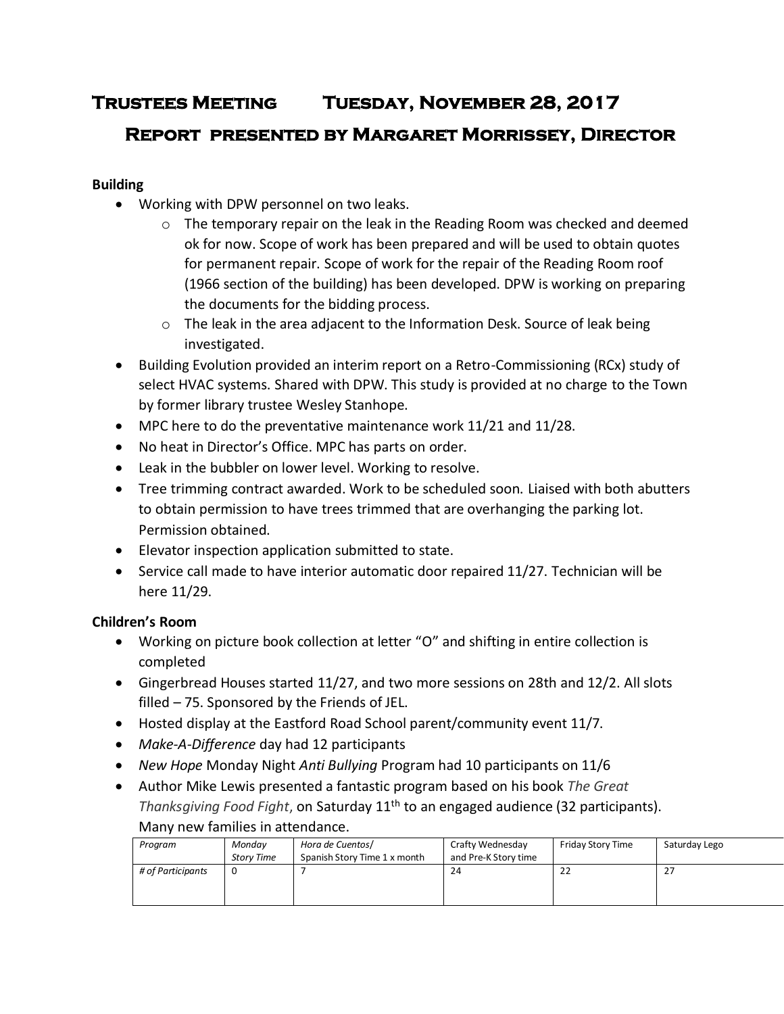# **Trustees Meeting Tuesday, November 28, 2017**

## **Report presented by Margaret Morrissey, Director**

### **Building**

- Working with DPW personnel on two leaks.
	- $\circ$  The temporary repair on the leak in the Reading Room was checked and deemed ok for now. Scope of work has been prepared and will be used to obtain quotes for permanent repair. Scope of work for the repair of the Reading Room roof (1966 section of the building) has been developed. DPW is working on preparing the documents for the bidding process.
	- $\circ$  The leak in the area adjacent to the Information Desk. Source of leak being investigated.
- Building Evolution provided an interim report on a Retro-Commissioning (RCx) study of select HVAC systems. Shared with DPW. This study is provided at no charge to the Town by former library trustee Wesley Stanhope.
- MPC here to do the preventative maintenance work 11/21 and 11/28.
- No heat in Director's Office. MPC has parts on order.
- Leak in the bubbler on lower level. Working to resolve.
- Tree trimming contract awarded. Work to be scheduled soon. Liaised with both abutters to obtain permission to have trees trimmed that are overhanging the parking lot. Permission obtained.
- Elevator inspection application submitted to state.
- Service call made to have interior automatic door repaired 11/27. Technician will be here 11/29.

## **Children's Room**

- Working on picture book collection at letter "O" and shifting in entire collection is completed
- Gingerbread Houses started 11/27, and two more sessions on 28th and 12/2. All slots filled – 75. Sponsored by the Friends of JEL.
- Hosted display at the Eastford Road School parent/community event 11/7.
- *Make-A-Difference* day had 12 participants
- *New Hope* Monday Night *Anti Bullying* Program had 10 participants on 11/6
- Author Mike Lewis presented a fantastic program based on his book *The Great Thanksgiving Food Fight*, on Saturday 11th to an engaged audience (32 participants). Many new families in attendance.

|  | Program           | Mondav            | Hora de Cuentos/             | Crafty Wednesday     | Friday Story Time | Saturday Lego |
|--|-------------------|-------------------|------------------------------|----------------------|-------------------|---------------|
|  |                   | <b>Story Time</b> | Spanish Story Time 1 x month | and Pre-K Story time |                   |               |
|  | # of Participants |                   |                              | 24                   | 22                | 27            |
|  |                   |                   |                              |                      |                   |               |
|  |                   |                   |                              |                      |                   |               |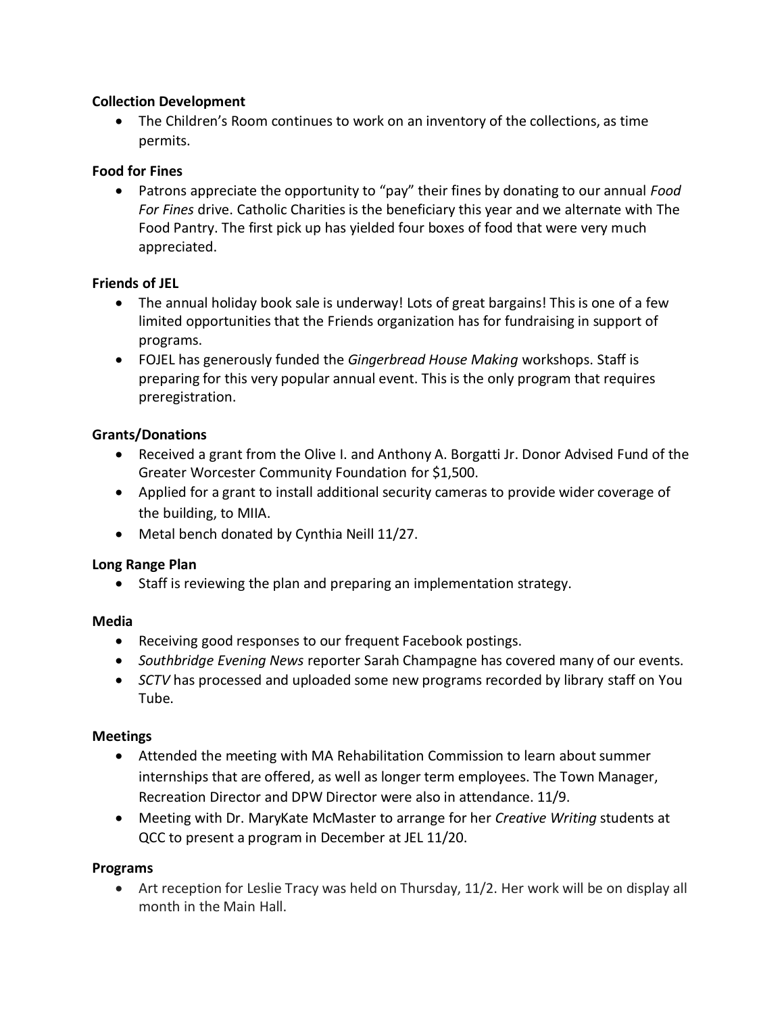#### **Collection Development**

 The Children's Room continues to work on an inventory of the collections, as time permits.

#### **Food for Fines**

 Patrons appreciate the opportunity to "pay" their fines by donating to our annual *Food For Fines* drive. Catholic Charities is the beneficiary this year and we alternate with The Food Pantry. The first pick up has yielded four boxes of food that were very much appreciated.

#### **Friends of JEL**

- The annual holiday book sale is underway! Lots of great bargains! This is one of a few limited opportunities that the Friends organization has for fundraising in support of programs.
- FOJEL has generously funded the *Gingerbread House Making* workshops. Staff is preparing for this very popular annual event. This is the only program that requires preregistration.

#### **Grants/Donations**

- Received a grant from the Olive I. and Anthony A. Borgatti Jr. Donor Advised Fund of the Greater Worcester Community Foundation for \$1,500.
- Applied for a grant to install additional security cameras to provide wider coverage of the building, to MIIA.
- Metal bench donated by Cynthia Neill 11/27.

#### **Long Range Plan**

• Staff is reviewing the plan and preparing an implementation strategy.

#### **Media**

- Receiving good responses to our frequent Facebook postings.
- *Southbridge Evening News* reporter Sarah Champagne has covered many of our events.
- *SCTV* has processed and uploaded some new programs recorded by library staff on You Tube.

#### **Meetings**

- Attended the meeting with MA Rehabilitation Commission to learn about summer internships that are offered, as well as longer term employees. The Town Manager, Recreation Director and DPW Director were also in attendance. 11/9.
- Meeting with Dr. MaryKate McMaster to arrange for her *Creative Writing* students at QCC to present a program in December at JEL 11/20.

#### **Programs**

 Art reception for Leslie Tracy was held on Thursday, 11/2. Her work will be on display all month in the Main Hall.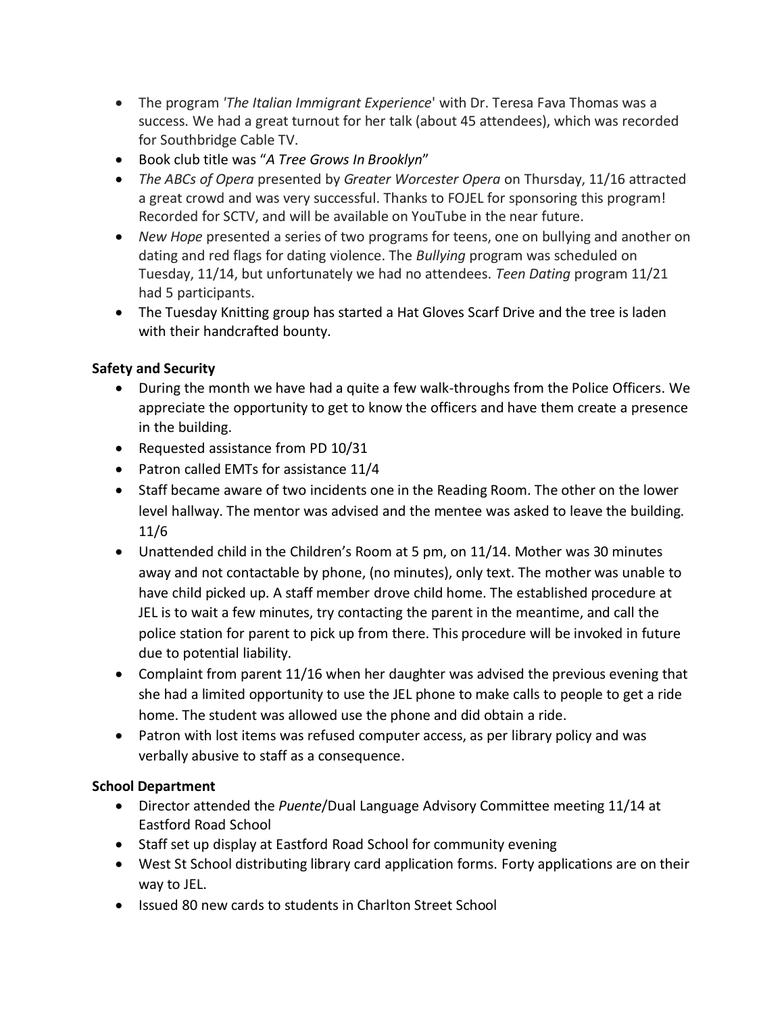- The program *'The Italian Immigrant Experience*' with Dr. Teresa Fava Thomas was a success. We had a great turnout for her talk (about 45 attendees), which was recorded for Southbridge Cable TV.
- Book club title was "*A Tree Grows In Brooklyn*"
- *The ABCs of Opera* presented by *Greater Worcester Opera* on Thursday, 11/16 attracted a great crowd and was very successful. Thanks to FOJEL for sponsoring this program! Recorded for SCTV, and will be available on YouTube in the near future.
- *New Hope* presented a series of two programs for teens, one on bullying and another on dating and red flags for dating violence. The *Bullying* program was scheduled on Tuesday, 11/14, but unfortunately we had no attendees. *Teen Dating* program 11/21 had 5 participants.
- The Tuesday Knitting group has started a Hat Gloves Scarf Drive and the tree is laden with their handcrafted bounty.

## **Safety and Security**

- During the month we have had a quite a few walk-throughs from the Police Officers. We appreciate the opportunity to get to know the officers and have them create a presence in the building.
- Requested assistance from PD 10/31
- Patron called EMTs for assistance 11/4
- Staff became aware of two incidents one in the Reading Room. The other on the lower level hallway. The mentor was advised and the mentee was asked to leave the building. 11/6
- Unattended child in the Children's Room at 5 pm, on 11/14. Mother was 30 minutes away and not contactable by phone, (no minutes), only text. The mother was unable to have child picked up. A staff member drove child home. The established procedure at JEL is to wait a few minutes, try contacting the parent in the meantime, and call the police station for parent to pick up from there. This procedure will be invoked in future due to potential liability.
- Complaint from parent 11/16 when her daughter was advised the previous evening that she had a limited opportunity to use the JEL phone to make calls to people to get a ride home. The student was allowed use the phone and did obtain a ride.
- Patron with lost items was refused computer access, as per library policy and was verbally abusive to staff as a consequence.

#### **School Department**

- Director attended the *Puente*/Dual Language Advisory Committee meeting 11/14 at Eastford Road School
- Staff set up display at Eastford Road School for community evening
- West St School distributing library card application forms. Forty applications are on their way to JEL.
- Issued 80 new cards to students in Charlton Street School